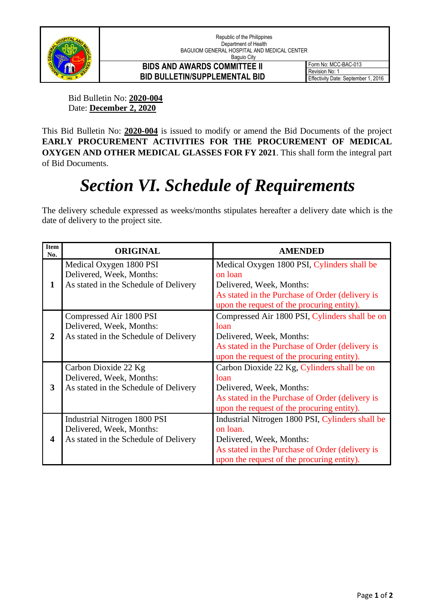

## **BIDS AND AWARDS COMMITTEE II BID BULLETIN/SUPPLEMENTAL BID**

Form No: MCC-BAC-013 Revision No: 1 Effectivity Date: September 1, 2016

Bid Bulletin No: **2020-004** Date: **December 2, 2020**

This Bid Bulletin No: **2020-004** is issued to modify or amend the Bid Documents of the project **EARLY PROCUREMENT ACTIVITIES FOR THE PROCUREMENT OF MEDICAL OXYGEN AND OTHER MEDICAL GLASSES FOR FY 2021**. This shall form the integral part of Bid Documents.

## *Section VI. Schedule of Requirements*

The delivery schedule expressed as weeks/months stipulates hereafter a delivery date which is the date of delivery to the project site.

| <b>Item</b><br>No. | <b>ORIGINAL</b>                                                                                   | <b>AMENDED</b>                                                                                                                                                                            |
|--------------------|---------------------------------------------------------------------------------------------------|-------------------------------------------------------------------------------------------------------------------------------------------------------------------------------------------|
| 1                  | Medical Oxygen 1800 PSI<br>Delivered, Week, Months:<br>As stated in the Schedule of Delivery      | Medical Oxygen 1800 PSI, Cylinders shall be<br>on loan<br>Delivered, Week, Months:<br>As stated in the Purchase of Order (delivery is<br>upon the request of the procuring entity).       |
| 2                  | Compressed Air 1800 PSI<br>Delivered, Week, Months:<br>As stated in the Schedule of Delivery      | Compressed Air 1800 PSI, Cylinders shall be on<br>loan<br>Delivered, Week, Months:<br>As stated in the Purchase of Order (delivery is<br>upon the request of the procuring entity).       |
| 3                  | Carbon Dioxide 22 Kg<br>Delivered, Week, Months:<br>As stated in the Schedule of Delivery         | Carbon Dioxide 22 Kg, Cylinders shall be on<br>loan<br>Delivered, Week, Months:<br>As stated in the Purchase of Order (delivery is<br>upon the request of the procuring entity).          |
| 4                  | Industrial Nitrogen 1800 PSI<br>Delivered, Week, Months:<br>As stated in the Schedule of Delivery | Industrial Nitrogen 1800 PSI, Cylinders shall be<br>on loan.<br>Delivered, Week, Months:<br>As stated in the Purchase of Order (delivery is<br>upon the request of the procuring entity). |